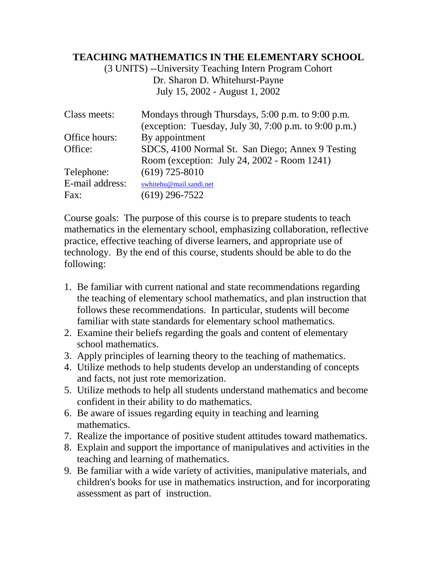## **TEACHING MATHEMATICS IN THE ELEMENTARY SCHOOL**

(3 UNITS) --University Teaching Intern Program Cohort Dr. Sharon D. Whitehurst-Payne July 15, 2002 - August 1, 2002

| Class meets:    | Mondays through Thursdays, 5:00 p.m. to 9:00 p.m.<br>(exception: Tuesday, July 30, 7:00 p.m. to 9:00 p.m.) |  |  |  |  |
|-----------------|------------------------------------------------------------------------------------------------------------|--|--|--|--|
| Office hours:   | By appointment                                                                                             |  |  |  |  |
| Office:         | SDCS, 4100 Normal St. San Diego; Annex 9 Testing                                                           |  |  |  |  |
|                 | Room (exception: July 24, 2002 - Room 1241)                                                                |  |  |  |  |
| Telephone:      | $(619)$ 725-8010                                                                                           |  |  |  |  |
| E-mail address: | swhitehu@mail.sandi.net                                                                                    |  |  |  |  |
| Fax:            | $(619)$ 296-7522                                                                                           |  |  |  |  |

Course goals: The purpose of this course is to prepare students to teach mathematics in the elementary school, emphasizing collaboration, reflective practice, effective teaching of diverse learners, and appropriate use of technology. By the end of this course, students should be able to do the following:

- 1. Be familiar with current national and state recommendations regarding the teaching of elementary school mathematics, and plan instruction that follows these recommendations. In particular, students will become familiar with state standards for elementary school mathematics.
- 2. Examine their beliefs regarding the goals and content of elementary school mathematics.
- 3. Apply principles of learning theory to the teaching of mathematics.
- 4. Utilize methods to help students develop an understanding of concepts and facts, not just rote memorization.
- 5. Utilize methods to help all students understand mathematics and become confident in their ability to do mathematics.
- 6. Be aware of issues regarding equity in teaching and learning mathematics.
- 7. Realize the importance of positive student attitudes toward mathematics.
- 8. Explain and support the importance of manipulatives and activities in the teaching and learning of mathematics.
- 9. Be familiar with a wide variety of activities, manipulative materials, and children's books for use in mathematics instruction, and for incorporating assessment as part of instruction.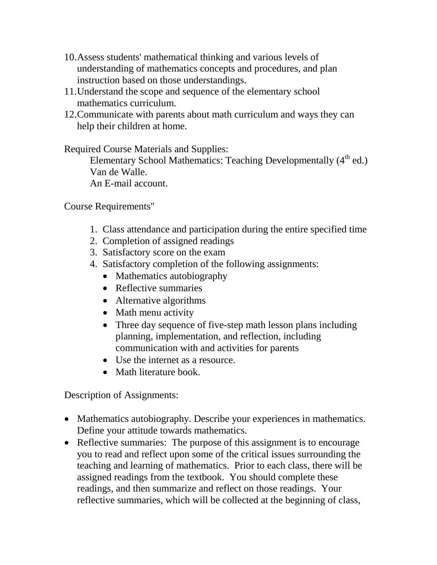- 10.Assess students' mathematical thinking and various levels of understanding of mathematics concepts and procedures, and plan instruction based on those understandings.
- 11.Understand the scope and sequence of the elementary school mathematics curriculum.
- 12.Communicate with parents about math curriculum and ways they can help their children at home.

Required Course Materials and Supplies:

Elementary School Mathematics: Teaching Developmentally  $(4<sup>th</sup>$  ed.) Van de Walle.

An E-mail account.

Course Requirements"

- 1. Class attendance and participation during the entire specified time
- 2. Completion of assigned readings
- 3. Satisfactory score on the exam
- 4. Satisfactory completion of the following assignments:
	- Mathematics autobiography
	- Reflective summaries
	- Alternative algorithms
	- Math menu activity
	- Three day sequence of five-step math lesson plans including planning, implementation, and reflection, including communication with and activities for parents
	- Use the internet as a resource.
	- Math literature book.

Description of Assignments:

- Mathematics autobiography. Describe your experiences in mathematics. Define your attitude towards mathematics.
- Reflective summaries: The purpose of this assignment is to encourage you to read and reflect upon some of the critical issues surrounding the teaching and learning of mathematics. Prior to each class, there will be assigned readings from the textbook. You should complete these readings, and then summarize and reflect on those readings. Your reflective summaries, which will be collected at the beginning of class,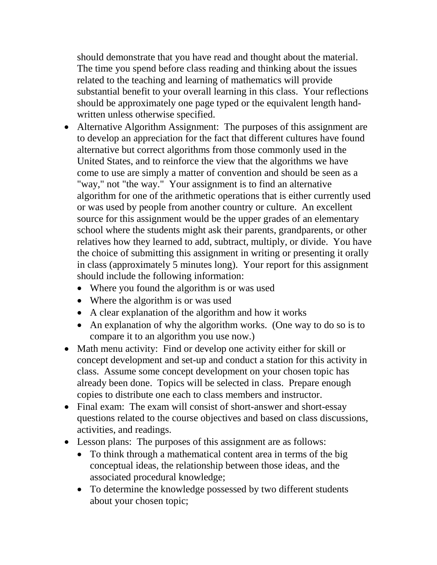should demonstrate that you have read and thought about the material. The time you spend before class reading and thinking about the issues related to the teaching and learning of mathematics will provide substantial benefit to your overall learning in this class. Your reflections should be approximately one page typed or the equivalent length handwritten unless otherwise specified.

- Alternative Algorithm Assignment: The purposes of this assignment are to develop an appreciation for the fact that different cultures have found alternative but correct algorithms from those commonly used in the United States, and to reinforce the view that the algorithms we have come to use are simply a matter of convention and should be seen as a "way," not "the way." Your assignment is to find an alternative algorithm for one of the arithmetic operations that is either currently used or was used by people from another country or culture. An excellent source for this assignment would be the upper grades of an elementary school where the students might ask their parents, grandparents, or other relatives how they learned to add, subtract, multiply, or divide. You have the choice of submitting this assignment in writing or presenting it orally in class (approximately 5 minutes long). Your report for this assignment should include the following information:
	- Where you found the algorithm is or was used
	- Where the algorithm is or was used
	- A clear explanation of the algorithm and how it works
	- An explanation of why the algorithm works. (One way to do so is to compare it to an algorithm you use now.)
- Math menu activity: Find or develop one activity either for skill or concept development and set-up and conduct a station for this activity in class. Assume some concept development on your chosen topic has already been done. Topics will be selected in class. Prepare enough copies to distribute one each to class members and instructor.
- Final exam: The exam will consist of short-answer and short-essay questions related to the course objectives and based on class discussions, activities, and readings.
- Lesson plans: The purposes of this assignment are as follows:
	- To think through a mathematical content area in terms of the big conceptual ideas, the relationship between those ideas, and the associated procedural knowledge;
	- To determine the knowledge possessed by two different students about your chosen topic;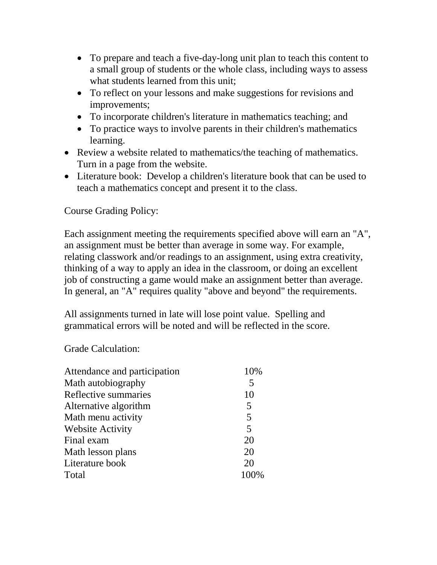- To prepare and teach a five-day-long unit plan to teach this content to a small group of students or the whole class, including ways to assess what students learned from this unit;
- To reflect on your lessons and make suggestions for revisions and improvements;
- To incorporate children's literature in mathematics teaching; and
- To practice ways to involve parents in their children's mathematics learning.
- Review a website related to mathematics/the teaching of mathematics. Turn in a page from the website.
- Literature book: Develop a children's literature book that can be used to teach a mathematics concept and present it to the class.

Course Grading Policy:

Each assignment meeting the requirements specified above will earn an "A", an assignment must be better than average in some way. For example, relating classwork and/or readings to an assignment, using extra creativity, thinking of a way to apply an idea in the classroom, or doing an excellent job of constructing a game would make an assignment better than average. In general, an "A" requires quality "above and beyond" the requirements.

All assignments turned in late will lose point value. Spelling and grammatical errors will be noted and will be reflected in the score.

Grade Calculation:

| Attendance and participation | 10% |
|------------------------------|-----|
| Math autobiography           | 5   |
| Reflective summaries         | 10  |
| Alternative algorithm        | 5   |
| Math menu activity           | 5   |
| <b>Website Activity</b>      | 5   |
| Final exam                   | 20  |
| Math lesson plans            | 20  |
| Literature book              | 20  |
| Total                        |     |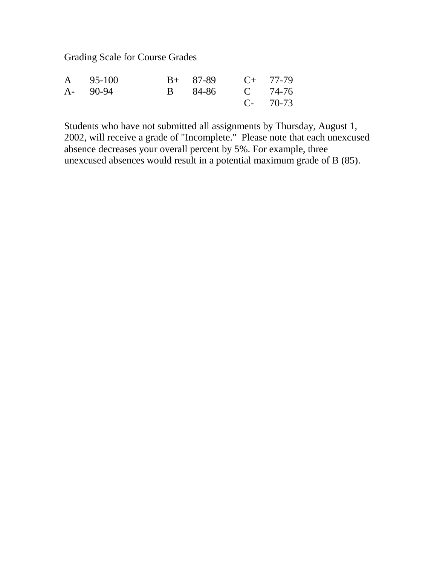Grading Scale for Course Grades

| A 95-100 |  | $B+ 87-89$ $C+ 77-79$ |           |
|----------|--|-----------------------|-----------|
| A- 90-94 |  | B 84-86 C 74-76       |           |
|          |  |                       | $C-70-73$ |

Students who have not submitted all assignments by Thursday, August 1, 2002, will receive a grade of "Incomplete." Please note that each unexcused absence decreases your overall percent by 5%. For example, three unexcused absences would result in a potential maximum grade of B (85).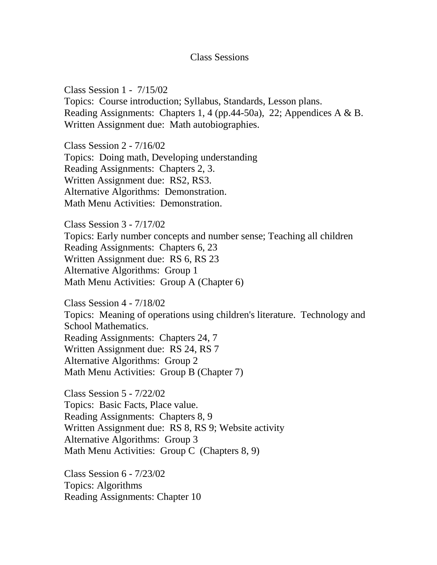## Class Sessions

Class Session 1 - 7/15/02 Topics: Course introduction; Syllabus, Standards, Lesson plans. Reading Assignments: Chapters 1, 4 (pp.44-50a), 22; Appendices A & B. Written Assignment due: Math autobiographies.

Class Session 2 - 7/16/02 Topics: Doing math, Developing understanding Reading Assignments: Chapters 2, 3. Written Assignment due: RS2, RS3. Alternative Algorithms: Demonstration. Math Menu Activities: Demonstration.

Class Session 3 - 7/17/02 Topics: Early number concepts and number sense; Teaching all children Reading Assignments: Chapters 6, 23 Written Assignment due: RS 6, RS 23 Alternative Algorithms: Group 1 Math Menu Activities: Group A (Chapter 6)

Class Session 4 - 7/18/02 Topics: Meaning of operations using children's literature. Technology and School Mathematics. Reading Assignments: Chapters 24, 7 Written Assignment due: RS 24, RS 7 Alternative Algorithms: Group 2 Math Menu Activities: Group B (Chapter 7)

Class Session 5 - 7/22/02 Topics: Basic Facts, Place value. Reading Assignments: Chapters 8, 9 Written Assignment due: RS 8, RS 9; Website activity Alternative Algorithms: Group 3 Math Menu Activities: Group C (Chapters 8, 9)

Class Session 6 - 7/23/02 Topics: Algorithms Reading Assignments: Chapter 10